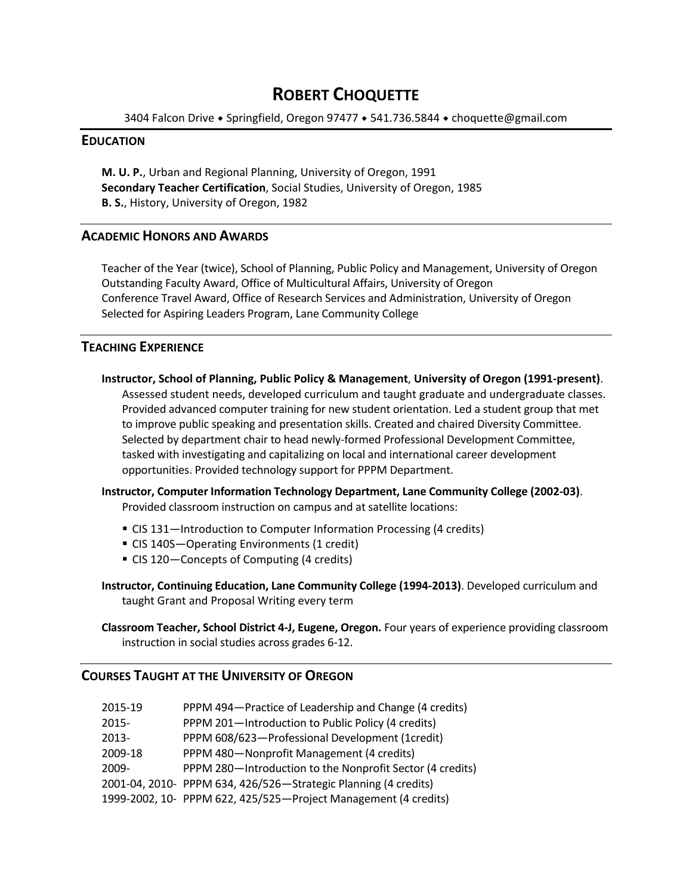## **ROBERT CHOQUETTE**

3404 Falcon Drive • Springfield, Oregon 97477 • 541.736.5844 • choquette@gmail.com

### **EDUCATION**

**M. U. P.**, Urban and Regional Planning, University of Oregon, 1991 **Secondary Teacher Certification**, Social Studies, University of Oregon, 1985 **B. S.**, History, University of Oregon, 1982

## **ACADEMIC HONORS AND AWARDS**

Teacher of the Year (twice), School of Planning, Public Policy and Management, University of Oregon Outstanding Faculty Award, Office of Multicultural Affairs, University of Oregon Conference Travel Award, Office of Research Services and Administration, University of Oregon Selected for Aspiring Leaders Program, Lane Community College

## **TEACHING EXPERIENCE**

**Instructor, School of Planning, Public Policy & Management**, **University of Oregon (1991‐present)**. Assessed student needs, developed curriculum and taught graduate and undergraduate classes. Provided advanced computer training for new student orientation. Led a student group that met to improve public speaking and presentation skills. Created and chaired Diversity Committee. Selected by department chair to head newly‐formed Professional Development Committee, tasked with investigating and capitalizing on local and international career development opportunities. Provided technology support for PPPM Department.

**Instructor, Computer Information Technology Department, Lane Community College (2002‐03)**. Provided classroom instruction on campus and at satellite locations:

- CIS 131—Introduction to Computer Information Processing (4 credits)
- CIS 140S—Operating Environments (1 credit)
- CIS 120-Concepts of Computing (4 credits)

**Instructor, Continuing Education, Lane Community College (1994‐2013)**. Developed curriculum and taught Grant and Proposal Writing every term

**Classroom Teacher, School District 4‐J, Eugene, Oregon.** Four years of experience providing classroom instruction in social studies across grades 6‐12.

## **COURSES TAUGHT AT THE UNIVERSITY OF OREGON**

| 2015-19 | PPPM 494-Practice of Leadership and Change (4 credits)          |
|---------|-----------------------------------------------------------------|
| 2015-   | PPPM 201-Introduction to Public Policy (4 credits)              |
| 2013-   | PPPM 608/623-Professional Development (1credit)                 |
| 2009-18 | PPPM 480-Nonprofit Management (4 credits)                       |
| 2009-   | PPPM 280-Introduction to the Nonprofit Sector (4 credits)       |
|         | 2001-04, 2010- PPPM 634, 426/526-Strategic Planning (4 credits) |
|         | 1999-2002, 10- PPPM 622, 425/525-Project Management (4 credits) |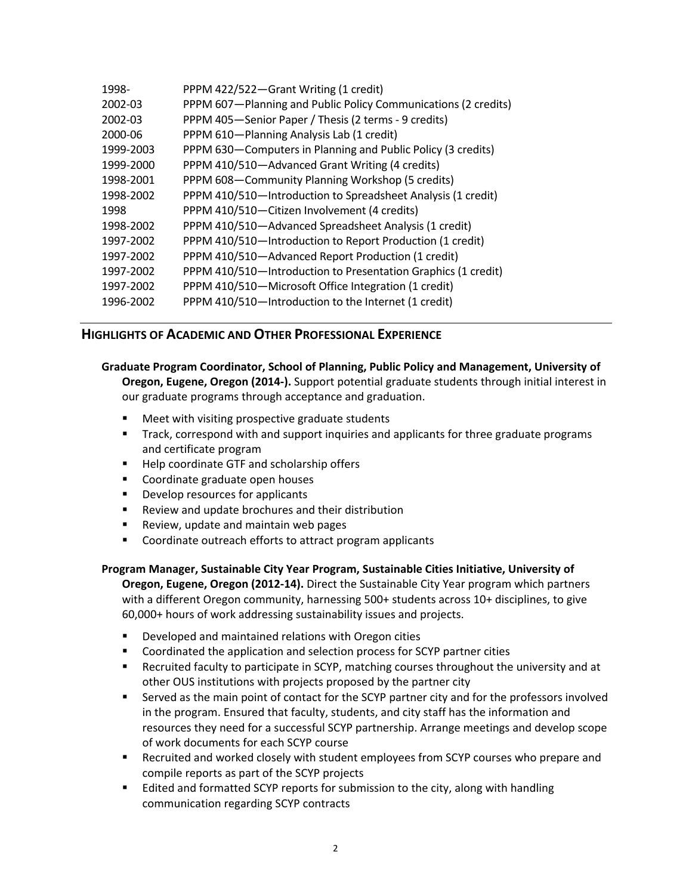| PPPM 422/522-Grant Writing (1 credit)                          |
|----------------------------------------------------------------|
| PPPM 607-Planning and Public Policy Communications (2 credits) |
| PPPM 405-Senior Paper / Thesis (2 terms - 9 credits)           |
| PPPM 610-Planning Analysis Lab (1 credit)                      |
| PPPM 630-Computers in Planning and Public Policy (3 credits)   |
| PPPM 410/510-Advanced Grant Writing (4 credits)                |
| PPPM 608-Community Planning Workshop (5 credits)               |
| PPPM 410/510-Introduction to Spreadsheet Analysis (1 credit)   |
| PPPM 410/510-Citizen Involvement (4 credits)                   |
| PPPM 410/510-Advanced Spreadsheet Analysis (1 credit)          |
| PPPM 410/510-Introduction to Report Production (1 credit)      |
| PPPM 410/510-Advanced Report Production (1 credit)             |
| PPPM 410/510-Introduction to Presentation Graphics (1 credit)  |
| PPPM 410/510-Microsoft Office Integration (1 credit)           |
| PPPM 410/510-Introduction to the Internet (1 credit)           |
|                                                                |

## **HIGHLIGHTS OF ACADEMIC AND OTHER PROFESSIONAL EXPERIENCE**

# **Graduate Program Coordinator, School of Planning, Public Policy and Management, University of**

**Oregon, Eugene, Oregon (2014‐).** Support potential graduate students through initial interest in our graduate programs through acceptance and graduation.

- **Meet with visiting prospective graduate students**
- **The Track, correspond with and support inquiries and applicants for three graduate programs** and certificate program
- Help coordinate GTF and scholarship offers
- **Coordinate graduate open houses**
- **•** Develop resources for applicants
- Review and update brochures and their distribution
- **Review, update and maintain web pages**
- **Coordinate outreach efforts to attract program applicants**

#### **Program Manager, Sustainable City Year Program, Sustainable Cities Initiative, University of**

**Oregon, Eugene, Oregon (2012‐14).** Direct the Sustainable City Year program which partners with a different Oregon community, harnessing 500+ students across 10+ disciplines, to give 60,000+ hours of work addressing sustainability issues and projects.

- **Developed and maintained relations with Oregon cities**
- Coordinated the application and selection process for SCYP partner cities
- Recruited faculty to participate in SCYP, matching courses throughout the university and at other OUS institutions with projects proposed by the partner city
- Served as the main point of contact for the SCYP partner city and for the professors involved in the program. Ensured that faculty, students, and city staff has the information and resources they need for a successful SCYP partnership. Arrange meetings and develop scope of work documents for each SCYP course
- Recruited and worked closely with student employees from SCYP courses who prepare and compile reports as part of the SCYP projects
- **E** Edited and formatted SCYP reports for submission to the city, along with handling communication regarding SCYP contracts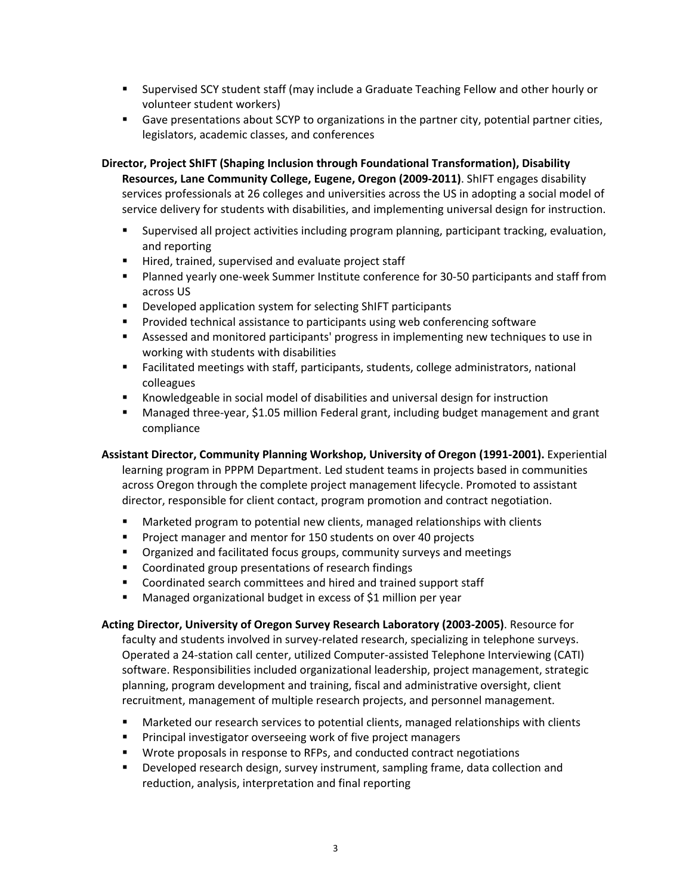- Supervised SCY student staff (may include a Graduate Teaching Fellow and other hourly or volunteer student workers)
- Gave presentations about SCYP to organizations in the partner city, potential partner cities, legislators, academic classes, and conferences

**Director, Project ShIFT (Shaping Inclusion through Foundational Transformation), Disability Resources, Lane Community College, Eugene, Oregon (2009‐2011)**. ShIFT engages disability services professionals at 26 colleges and universities across the US in adopting a social model of service delivery for students with disabilities, and implementing universal design for instruction.

- Supervised all project activities including program planning, participant tracking, evaluation, and reporting
- Hired, trained, supervised and evaluate project staff
- Planned yearly one-week Summer Institute conference for 30-50 participants and staff from across US
- **•** Developed application system for selecting ShIFT participants
- **Provided technical assistance to participants using web conferencing software**
- Assessed and monitored participants' progress in implementing new techniques to use in working with students with disabilities
- Facilitated meetings with staff, participants, students, college administrators, national colleagues
- Knowledgeable in social model of disabilities and universal design for instruction
- Managed three-year, \$1.05 million Federal grant, including budget management and grant compliance

## **Assistant Director, Community Planning Workshop, University of Oregon (1991‐2001).** Experiential

learning program in PPPM Department. Led student teams in projects based in communities across Oregon through the complete project management lifecycle. Promoted to assistant director, responsible for client contact, program promotion and contract negotiation.

- **Marketed program to potential new clients, managed relationships with clients**
- **Project manager and mentor for 150 students on over 40 projects**
- **•** Organized and facilitated focus groups, community surveys and meetings
- **EXECOORDINATED STATES EXECOORDING** COORDINGS
- **EXECOORDINATED SEARCH COMMITTEES AND HIRE AND THE COORDINATES IN COORGIST**
- **Managed organizational budget in excess of \$1 million per year**

## **Acting Director, University of Oregon Survey Research Laboratory (2003‐2005)**. Resource for

faculty and students involved in survey-related research, specializing in telephone surveys. Operated a 24‐station call center, utilized Computer‐assisted Telephone Interviewing (CATI) software. Responsibilities included organizational leadership, project management, strategic planning, program development and training, fiscal and administrative oversight, client recruitment, management of multiple research projects, and personnel management.

- Marketed our research services to potential clients, managed relationships with clients
- **Principal investigator overseeing work of five project managers**
- Wrote proposals in response to RFPs, and conducted contract negotiations
- **Developed research design, survey instrument, sampling frame, data collection and** reduction, analysis, interpretation and final reporting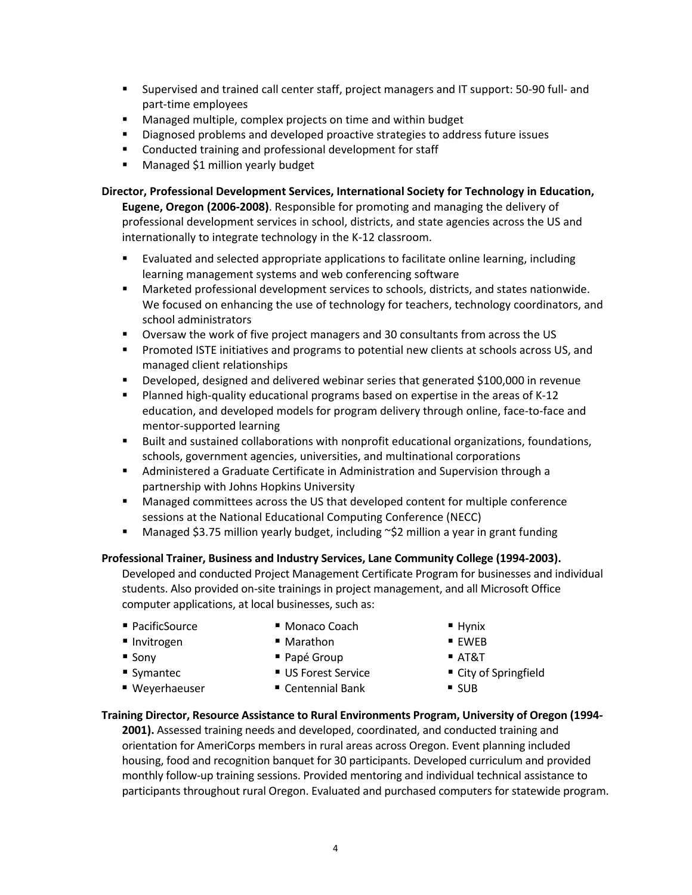- Supervised and trained call center staff, project managers and IT support: 50-90 full- and part‐time employees
- **Managed multiple, complex projects on time and within budget**
- Diagnosed problems and developed proactive strategies to address future issues
- **EXECONDUCTED EXECONDER** Conducted training and professional development for staff
- **Managed \$1 million yearly budget**

**Director, Professional Development Services, International Society for Technology in Education, Eugene, Oregon (2006‐2008)**. Responsible for promoting and managing the delivery of professional development services in school, districts, and state agencies across the US and internationally to integrate technology in the K‐12 classroom.

- Evaluated and selected appropriate applications to facilitate online learning, including learning management systems and web conferencing software
- Marketed professional development services to schools, districts, and states nationwide. We focused on enhancing the use of technology for teachers, technology coordinators, and school administrators
- Oversaw the work of five project managers and 30 consultants from across the US
- **Promoted ISTE initiatives and programs to potential new clients at schools across US, and** managed client relationships
- Developed, designed and delivered webinar series that generated \$100,000 in revenue
- Planned high-quality educational programs based on expertise in the areas of K-12 education, and developed models for program delivery through online, face‐to‐face and mentor‐supported learning
- Built and sustained collaborations with nonprofit educational organizations, foundations, schools, government agencies, universities, and multinational corporations
- **Administered a Graduate Certificate in Administration and Supervision through a** partnership with Johns Hopkins University
- Managed committees across the US that developed content for multiple conference sessions at the National Educational Computing Conference (NECC)
- Managed \$3.75 million yearly budget, including ~\$2 million a year in grant funding

#### **Professional Trainer, Business and Industry Services, Lane Community College (1994‐2003).**

Developed and conducted Project Management Certificate Program for businesses and individual students. Also provided on‐site trainings in project management, and all Microsoft Office computer applications, at local businesses, such as:

- PacificSource Monaco Coach Hynix
- 
- Invitrogen Marathon Marathon EWEB
	-

- -
- Weyerhaeuser Centennial Bank SUB
- -
- 
- 
- Sony Papé Group Papé AT&T
- Symantec US Forest Service City of Springfield
	-

#### **Training Director, Resource Assistance to Rural Environments Program, University of Oregon (1994‐**

**2001).** Assessed training needs and developed, coordinated, and conducted training and orientation for AmeriCorps members in rural areas across Oregon. Event planning included housing, food and recognition banquet for 30 participants. Developed curriculum and provided monthly follow‐up training sessions. Provided mentoring and individual technical assistance to participants throughout rural Oregon. Evaluated and purchased computers for statewide program.